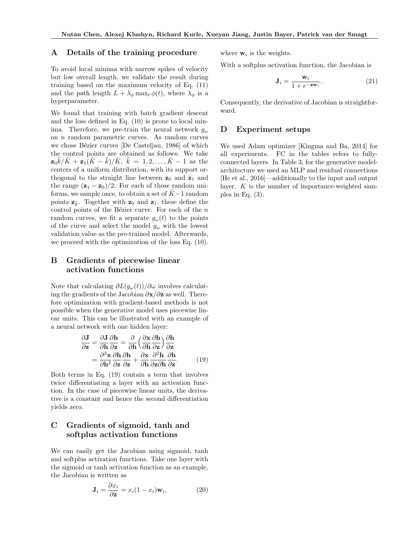#### A Details of the training procedure

To avoid local minima with narrow spikes of velocity but low overall length, we validate the result during training based on the maximum velocity of Eq. (11) and the path length  $L + \lambda_{\phi} \max_t \phi(t)$ , where  $\lambda_{\phi}$  is a hyperparameter.

We found that training with batch gradient descent and the loss defined in Eq. (10) is prone to local minima. Therefore, we pre-train the neural network  $q_{\omega}$ on *n* random parametric curves. As random curves we chose Bézier curves [De Casteljau, 1986] of which the control points are obtained as follows: We take  $\mathbf{z}_0 \tilde{k}/\tilde{K} + \mathbf{z}_1(\tilde{K} - \tilde{k})/\tilde{K}, \ \tilde{k} = 1, 2, ..., \tilde{K} - 1 \text{ as the}$ centers of a uniform distribution, with its support orthogonal to the straight line between  $z_0$  and  $z_1$  and the range  $(\mathbf{z}_1 - \mathbf{z}_0)/2$ . For each of those random uniforms, we sample once, to obtain a set of  $K-1$  random points  $z_{\tilde{k}}$ . Together with  $z_0$  and  $z_1$ , these define the control points of the Bézier curve. For each of the  $n$ random curves, we fit a separate  $g_{\omega}(t)$  to the points of the curve and select the model  $g_{\omega}$  with the lowest validation value as the pre-trained model. Afterwards, we proceed with the optimization of the loss Eq. (10).

# B Gradients of piecewise linear activation functions

Note that calculating  $\partial L(g_{\omega}(t))/\partial \omega$  involves calculating the gradients of the Jacobian  $\partial \mathbf{x}/\partial \mathbf{z}$  as well. Therefore optimization with gradient-based methods is not possible when the generative model uses piecewise linear units. This can be illustrated with an example of a neural network with one hidden layer:

$$
\frac{\partial \mathbf{J}}{\partial \mathbf{z}} = \frac{\partial \mathbf{J}}{\partial \mathbf{h}} \frac{\partial \mathbf{h}}{\partial \mathbf{z}} = \frac{\partial}{\partial \mathbf{h}} \left( \frac{\partial \mathbf{x}}{\partial \mathbf{h}} \frac{\partial \mathbf{h}}{\partial \mathbf{z}} \right) \frac{\partial \mathbf{h}}{\partial \mathbf{z}} \n= \frac{\partial^2 \mathbf{x}}{\partial \mathbf{h}^2} \frac{\partial \mathbf{h}}{\partial \mathbf{z}} \frac{\partial \mathbf{h}}{\partial \mathbf{z}} + \frac{\partial \mathbf{x}}{\partial \mathbf{h}} \frac{\partial^2 \mathbf{h}}{\partial \mathbf{z}} \frac{\partial \mathbf{h}}{\partial \mathbf{z}}.
$$
\n(19)

Both terms in Eq. (19) contain a term that involves twice differentiating a layer with an activation function. In the case of piecewise linear units, the derivative is a constant and hence the second differentiation yields zero.

## C Gradients of sigmoid, tanh and softplus activation functions

We can easily get the Jacobian using sigmoid, tanh and softplus activation functions. Take one layer with the sigmoid or tanh activation function as an example, the Jacobian is written as

$$
\mathbf{J}_i = \frac{\partial x_i}{\partial \mathbf{z}} = x_i (1 - x_i) \mathbf{w}_i, \tag{20}
$$

where w*<sup>i</sup>* is the weights.

With a softplus activation function, the Jacobian is

$$
\mathbf{J}_i = \frac{\mathbf{w}_i}{1 + e^{-\mathbf{z}\mathbf{w}_i}}.\tag{21}
$$

Consequently, the derivative of Jacobian is straightforward.

#### D Experiment setups

We used Adam optimizer [Kingma and Ba, 2014] for all experiments. FC in the tables refers to fullyconnected layers. In Table 3, for the generative modelarchitecture we used an MLP and residual connections [He et al., 2016]—additionally to the input and output layer. *K* is the number of importance-weighted samples in Eq.  $(3)$ .